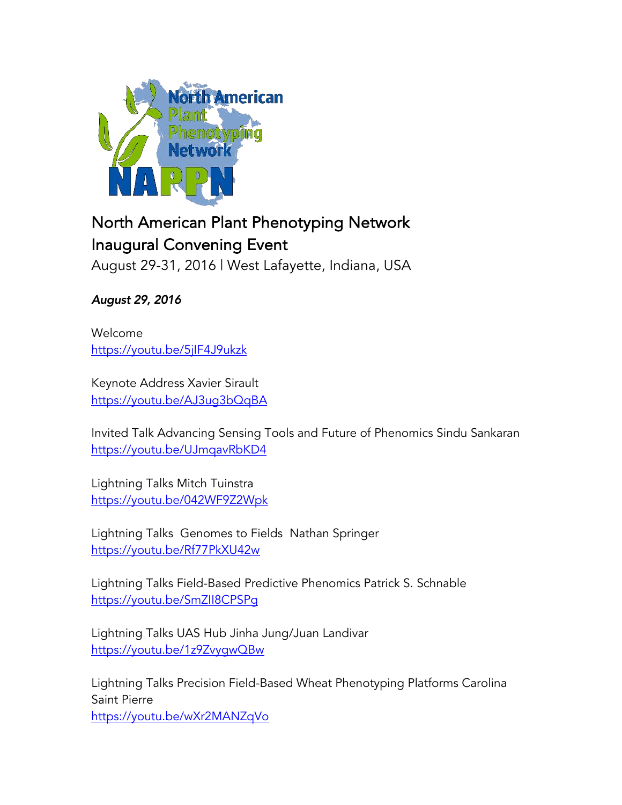

## North American Plant Phenotyping Network Inaugural Convening Event

August 29-31, 2016 | West Lafayette, Indiana, USA

August 29, 2016

Welcome https://youtu.be/5jIF4J9ukzk

Keynote Address Xavier Sirault https://youtu.be/AJ3ug3bQqBA

Invited Talk Advancing Sensing Tools and Future of Phenomics Sindu Sankaran https://youtu.be/UJmqavRbKD4

Lightning Talks Mitch Tuinstra https://youtu.be/042WF9Z2Wpk

Lightning Talks Genomes to Fields Nathan Springer https://youtu.be/Rf77PkXU42w

Lightning Talks Field-Based Predictive Phenomics Patrick S. Schnable https://youtu.be/SmZII8CPSPg

Lightning Talks UAS Hub Jinha Jung/Juan Landivar https://youtu.be/1z9ZvygwQBw

Lightning Talks Precision Field-Based Wheat Phenotyping Platforms Carolina Saint Pierre https://youtu.be/wXr2MANZqVo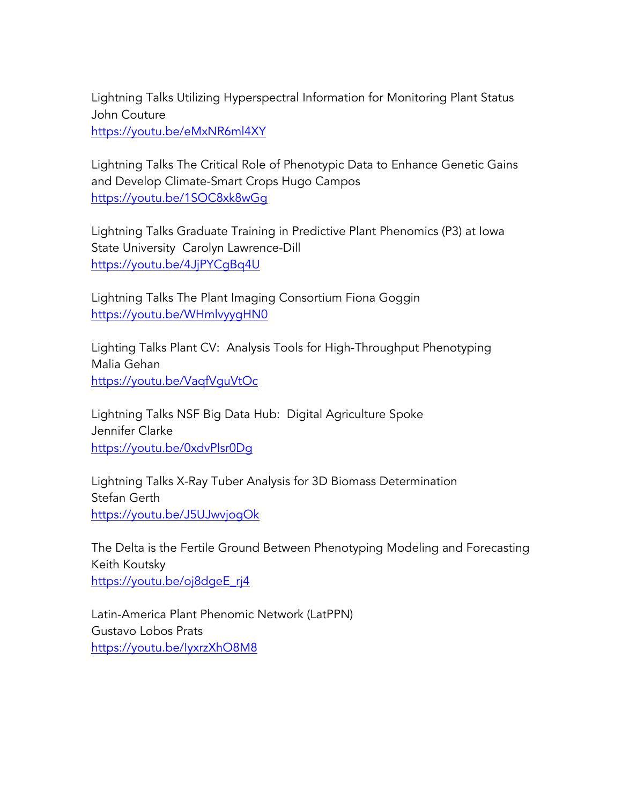Lightning Talks Utilizing Hyperspectral Information for Monitoring Plant Status John Couture

https://youtu.be/eMxNR6ml4XY

Lightning Talks The Critical Role of Phenotypic Data to Enhance Genetic Gains and Develop Climate-Smart Crops Hugo Campos https://youtu.be/1SOC8xk8wGg

Lightning Talks Graduate Training in Predictive Plant Phenomics (P3) at Iowa State University Carolyn Lawrence-Dill https://youtu.be/4JjPYCgBq4U

Lightning Talks The Plant Imaging Consortium Fiona Goggin https://youtu.be/WHmlvyygHN0

Lighting Talks Plant CV: Analysis Tools for High-Throughput Phenotyping Malia Gehan https://youtu.be/VaqfVguVtOc

Lightning Talks NSF Big Data Hub: Digital Agriculture Spoke Jennifer Clarke https://youtu.be/0xdvPlsr0Dg

Lightning Talks X-Ray Tuber Analysis for 3D Biomass Determination Stefan Gerth https://youtu.be/J5UJwvjogOk

The Delta is the Fertile Ground Between Phenotyping Modeling and Forecasting Keith Koutsky https://youtu.be/oj8dgeE\_rj4

Latin-America Plant Phenomic Network (LatPPN) Gustavo Lobos Prats https://youtu.be/IyxrzXhO8M8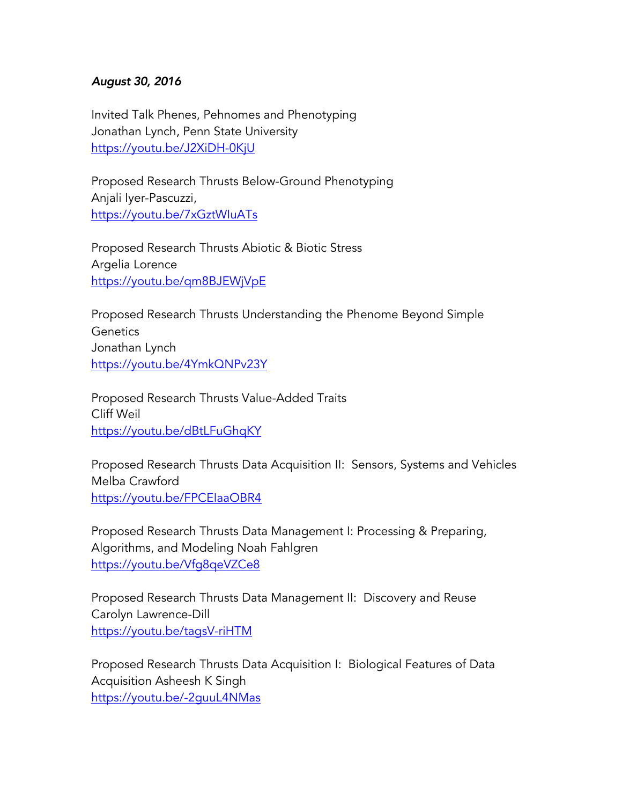## August 30, 2016

Invited Talk Phenes, Pehnomes and Phenotyping Jonathan Lynch, Penn State University https://youtu.be/J2XiDH-0KjU

Proposed Research Thrusts Below-Ground Phenotyping Anjali Iyer-Pascuzzi, https://youtu.be/7xGztWIuATs

Proposed Research Thrusts Abiotic & Biotic Stress Argelia Lorence https://youtu.be/qm8BJEWjVpE

Proposed Research Thrusts Understanding the Phenome Beyond Simple **Genetics** Jonathan Lynch https://youtu.be/4YmkQNPv23Y

Proposed Research Thrusts Value-Added Traits Cliff Weil https://youtu.be/dBtLFuGhqKY

Proposed Research Thrusts Data Acquisition II: Sensors, Systems and Vehicles Melba Crawford https://youtu.be/FPCEIaaOBR4

Proposed Research Thrusts Data Management I: Processing & Preparing, Algorithms, and Modeling Noah Fahlgren https://youtu.be/Vfg8qeVZCe8

Proposed Research Thrusts Data Management II: Discovery and Reuse Carolyn Lawrence-Dill https://youtu.be/tagsV-riHTM

Proposed Research Thrusts Data Acquisition I: Biological Features of Data Acquisition Asheesh K Singh https://youtu.be/-2guuL4NMas